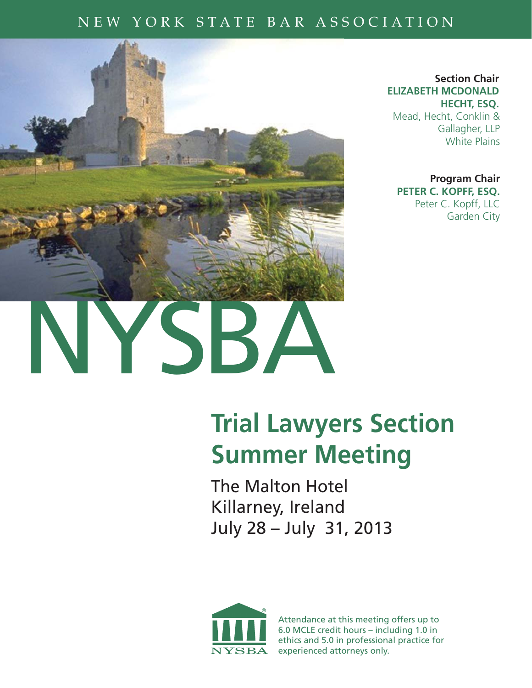# NEW YORK STATE BAR ASSOCIATION



**Section Chair ELIZABETH MCDONALD HECHT, ESQ.**

Mead, Hecht, Conklin & Gallagher, LLP White Plains

**Program Chair PETER C. KOPFF, ESQ.** Peter C. Kopff, LLC Garden City

# **Trial Lawyers Section Summer Meeting**

The Malton Hotel Killarney, Ireland July 28 – July 31, 2013



Attendance at this meeting offers up to 6.0 MCLE credit hours – including 1.0 in ethics and 5.0 in professional practice for experienced attorneys only.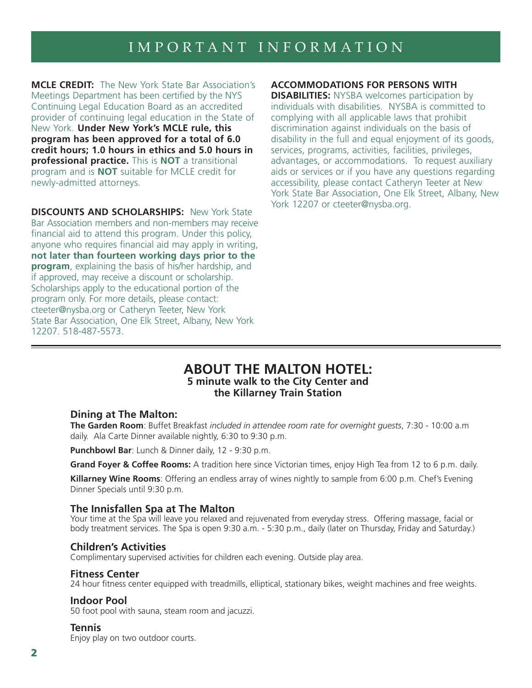# IMPORTANT INFORMATION

**MCLE CREDIT:** The New York State Bar Association's Meetings Department has been certified by the NYS Continuing Legal Education Board as an accredited provider of continuing legal education in the State of New York. **Under New York's MCLE rule, this program has been approved for a total of 6.0 credit hours; 1.0 hours in ethics and 5.0 hours in professional practice.**This is **NOT** a transitional program and is **NOT** suitable for MCLE credit for newly-admitted attorneys.

**DISCOUNTS AND SCHOLARSHIPS: New York State** Bar Association members and non-members may receive financial aid to attend this program. Under this policy, anyone who requires financial aid may apply in writing, **not later than fourteen working days prior to the program**, explaining the basis of his/her hardship, and if approved, may receive a discount or scholarship. Scholarships apply to the educational portion of the program only. For more details, please contact: cteeter@nysba.org or Catheryn Teeter, New York State Bar Association, One Elk Street, Albany, New York 12207. 518-487-5573.

### **ACCOMMODATIONS FOR PERSONS WITH**

**DISABILITIES:** NYSBA welcomes participation by individuals with disabilities. NYSBA is committed to complying with all applicable laws that prohibit discrimination against individuals on the basis of disability in the full and equal enjoyment of its goods, services, programs, activities, facilities, privileges, advantages, or accommodations. To request auxiliary aids or services or if you have any questions regarding accessibility, please contact Catheryn Teeter at New York State Bar Association, One Elk Street, Albany, New York 12207 or cteeter@nysba.org.

## **ABOUT THE MALTON HOTEL: 5 minute walk to the City Center and the Killarney Train Station**

### **Dining at The Malton:**

**The Garden Room**: Buffet Breakfast *included in attendee room rate for overnight guests*, 7:30 - 10:00 a.m daily. Ala Carte Dinner available nightly, 6:30 to 9:30 p.m.

**Punchbowl Bar**: Lunch & Dinner daily, 12 - 9:30 p.m.

**Grand Foyer & Coffee Rooms:** A tradition here since Victorian times, enjoy High Tea from 12 to 6 p.m. daily.

**Killarney Wine Rooms**: Offering an endless array of wines nightly to sample from 6:00 p.m. Chef's Evening Dinner Specials until 9:30 p.m.

### **The Innisfallen Spa at The Malton**

Your time at the Spa will leave you relaxed and rejuvenated from everyday stress. Offering massage, facial or body treatment services. The Spa is open 9:30 a.m. - 5:30 p.m., daily (later on Thursday, Friday and Saturday.)

#### **Children's Activities**

Complimentary supervised activities for children each evening. Outside play area.

#### **Fitness Center**

24 hour fitness center equipped with treadmills, elliptical, stationary bikes, weight machines and free weights.

#### **Indoor Pool**

50 foot pool with sauna, steam room and jacuzzi.

#### **Tennis**

Enjoy play on two outdoor courts.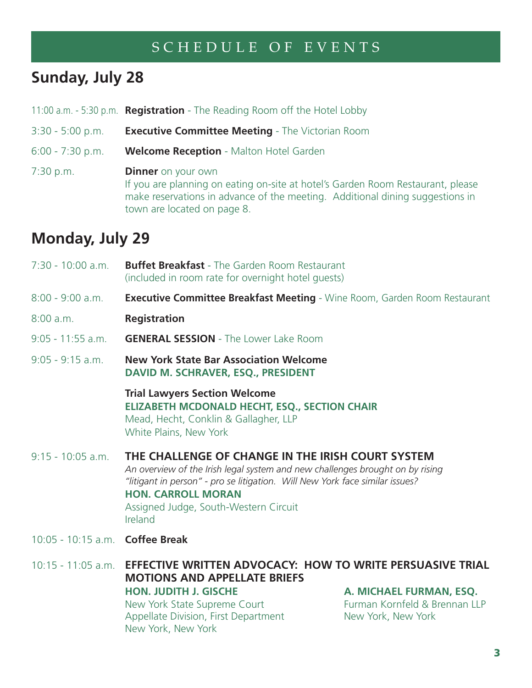# SCHEDULE OF EVENTS

# **Sunday, July 28**

11:00 a.m. - 5:30 p.m. **Registration** - The Reading Room off the Hotel Lobby 3:30 - 5:00 p.m. **Executive Committee Meeting** - The Victorian Room 6:00 - 7:30 p.m. **Welcome Reception** - Malton Hotel Garden 7:30 p.m. **Dinner** on your own If you are planning on eating on-site at hotel's Garden Room Restaurant, please make reservations in advance of the meeting. Additional dining suggestions in town are located on page 8.

# **Monday, July 29**

| $7:30 - 10:00$ a.m.             | <b>Buffet Breakfast</b> - The Garden Room Restaurant<br>(included in room rate for overnight hotel quests)                                                                                                                                                                                          |                                                                                |
|---------------------------------|-----------------------------------------------------------------------------------------------------------------------------------------------------------------------------------------------------------------------------------------------------------------------------------------------------|--------------------------------------------------------------------------------|
| $8:00 - 9:00$ a.m.              | <b>Executive Committee Breakfast Meeting - Wine Room, Garden Room Restaurant</b>                                                                                                                                                                                                                    |                                                                                |
| 8:00 a.m.                       | <b>Registration</b>                                                                                                                                                                                                                                                                                 |                                                                                |
| $9:05 - 11:55$ a.m.             | <b>GENERAL SESSION</b> - The Lower Lake Room                                                                                                                                                                                                                                                        |                                                                                |
| $9:05 - 9:15$ a.m.              | <b>New York State Bar Association Welcome</b><br>DAVID M. SCHRAVER, ESQ., PRESIDENT                                                                                                                                                                                                                 |                                                                                |
|                                 | <b>Trial Lawyers Section Welcome</b><br><b>ELIZABETH MCDONALD HECHT, ESQ., SECTION CHAIR</b><br>Mead, Hecht, Conklin & Gallagher, LLP<br>White Plains, New York                                                                                                                                     |                                                                                |
| $9:15 - 10:05$ a.m.             | THE CHALLENGE OF CHANGE IN THE IRISH COURT SYSTEM<br>An overview of the Irish legal system and new challenges brought on by rising<br>"litigant in person" - pro se litigation. Will New York face similar issues?<br><b>HON. CARROLL MORAN</b><br>Assigned Judge, South-Western Circuit<br>Ireland |                                                                                |
| 10:05 - 10:15 a.m. Coffee Break |                                                                                                                                                                                                                                                                                                     |                                                                                |
| $10:15 - 11:05$ a.m.            | EFFECTIVE WRITTEN ADVOCACY: HOW TO WRITE PERSUASIVE TRIAL<br><b>MOTIONS AND APPELLATE BRIEFS</b><br><b>HON. JUDITH J. GISCHE</b><br>New York State Supreme Court<br>Appellate Division, First Department<br>New York, New York                                                                      | A. MICHAEL FURMAN, ESQ.<br>Furman Kornfeld & Brennan LLP<br>New York, New York |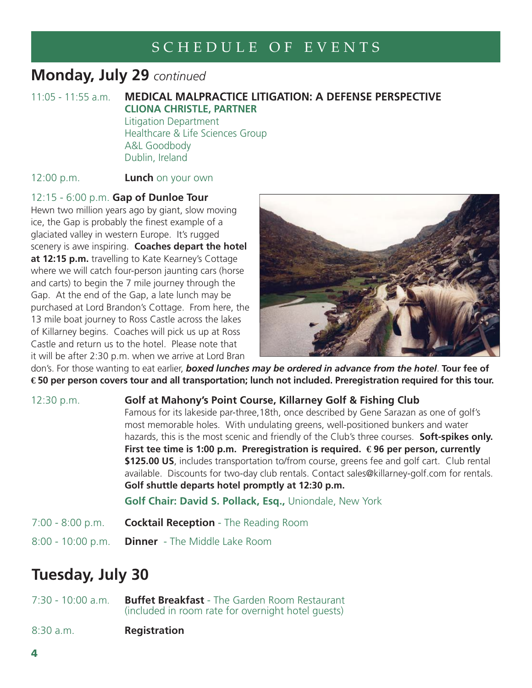# SCHEDULE OF EVENTS

# **Monday, July 29** *continued*

# 11:05 - 11:55 a.m. **MEDICAL MALPRACTICE LITIGATION: A DEFENSE PERSPECTIVE CLIONA CHRISTLE, PARTNER**  Litigation Department

 Healthcare & Life Sciences Group A&L Goodbody Dublin, Ireland

# 12:00 p.m. **Lunch** on your own

# 12:15 - 6:00 p.m. **Gap of Dunloe Tour**

Hewn two million years ago by giant, slow moving ice, the Gap is probably the finest example of a glaciated valley in western Europe. It's rugged scenery is awe inspiring. **Coaches depart the hotel at 12:15 p.m.** travelling to Kate Kearney's Cottage where we will catch four-person jaunting cars (horse and carts) to begin the 7 mile journey through the Gap. At the end of the Gap, a late lunch may be purchased at Lord Brandon's Cottage. From here, the 13 mile boat journey to Ross Castle across the lakes of Killarney begins. Coaches will pick us up at Ross Castle and return us to the hotel. Please note that it will be after 2:30 p.m. when we arrive at Lord Bran



don's. For those wanting to eat earlier, *boxed lunches may be ordered in advance from the hotel*. **Tour fee of € 50 per person covers tour and all transportation; lunch not included. Preregistration required for this tour.**

# 12:30 p.m. **Golf at Mahony's Point Course, Killarney Golf & Fishing Club**

Famous for its lakeside par-three,18th, once described by Gene Sarazan as one of golf's most memorable holes. With undulating greens, well-positioned bunkers and water hazards, this is the most scenic and friendly of the Club's three courses. **Soft-spikes only. First tee time is 1:00 p.m.****Preregistration is required. € 96 per person, currently \$125.00 US**, includes transportation to/from course, greens fee and golf cart. Club rental available. Discounts for two-day club rentals. Contact sales@killarney-golf.com for rentals. **Golf shuttle departs hotel promptly at 12:30 p.m.** 

**Golf Chair: David S. Pollack, Esq.,** Uniondale, New York

- 7:00 8:00 p.m. **Cocktail Reception**  The Reading Room
- 8:00 10:00 p.m. **Dinner**  The Middle Lake Room

# **Tuesday, July 30**

- 7:30 10:00 a.m. **Buffet Breakfast** The Garden Room Restaurant (included in room rate for overnight hotel guests)
- 8:30 a.m. **Registration**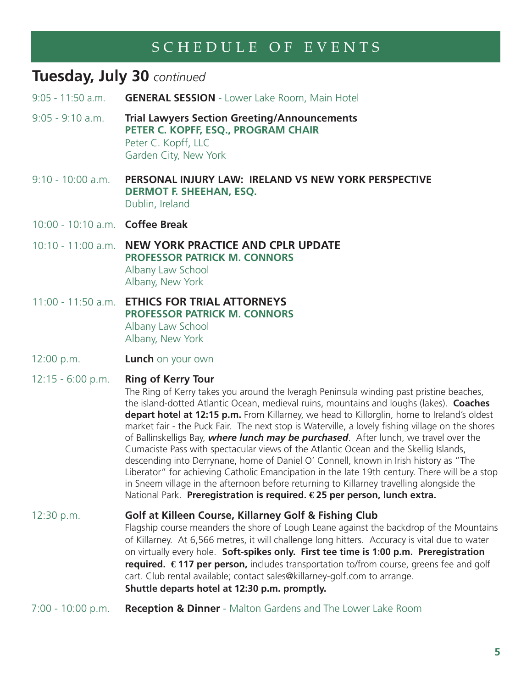# SCHEDULE OF EVENTS

# **Tuesday, July 30** *continued*

- 9:05 11:50 a.m. **GENERAL SESSION** Lower Lake Room, Main Hotel
- 9:05 9:10 a.m. **Trial Lawyers Section Greeting/Announcements PETER C. KOPFF, ESQ., PROGRAM CHAIR**  Peter C. Kopff, LLC Garden City, New York
- 9:10 10:00 a.m. **PERSONAL INJURY LAW: IRELAND VS NEW YORK PERSPECTIVE DERMOT F. SHEEHAN, ESQ.** Dublin, Ireland
- 10:00 10:10 a.m. **Coffee Break**
- 10:10 11:00 a.m. **NEW YORK PRACTICE AND CPLR UPDATE PROFESSOR PATRICK M. CONNORS** Albany Law School Albany, New York
- 11:00 11:50 a.m. **ETHICS FOR TRIAL ATTORNEYS PROFESSOR PATRICK M. CONNORS** Albany Law School Albany, New York
- 12:00 p.m. **Lunch** on your own
- 12:15 6:00 p.m. **Ring of Kerry Tour**

The Ring of Kerry takes you around the Iveragh Peninsula winding past pristine beaches, the island-dotted Atlantic Ocean, medieval ruins, mountains and loughs (lakes). **Coaches depart hotel at 12:15 p.m.** From Killarney, we head to Killorglin, home to Ireland's oldest market fair - the Puck Fair. The next stop is Waterville, a lovely fishing village on the shores of Ballinskelligs Bay, *where lunch may be purchased*. After lunch, we travel over the Cumaciste Pass with spectacular views of the Atlantic Ocean and the Skellig Islands, descending into Derrynane, home of Daniel O' Connell, known in Irish history as "The Liberator" for achieving Catholic Emancipation in the late 19th century. There will be a stop in Sneem village in the afternoon before returning to Killarney travelling alongside the National Park. **Preregistration is required. € 25 per person, lunch extra.** 

### 12:30 p.m. **Golf at Killeen Course, Killarney Golf & Fishing Club**

 Flagship course meanders the shore of Lough Leane against the backdrop of the Mountains of Killarney. At 6,566 metres, it will challenge long hitters. Accuracy is vital due to water on virtually every hole. **Soft-spikes only. First tee time is 1:00 p.m.****Preregistration required.****€ 117 per person,** includes transportation to/from course, greens fee and golf cart. Club rental available; contact sales@killarney-golf.com to arrange. **Shuttle departs hotel at 12:30 p.m. promptly.**

7:00 - 10:00 p.m. **Reception & Dinner** - Malton Gardens and The Lower Lake Room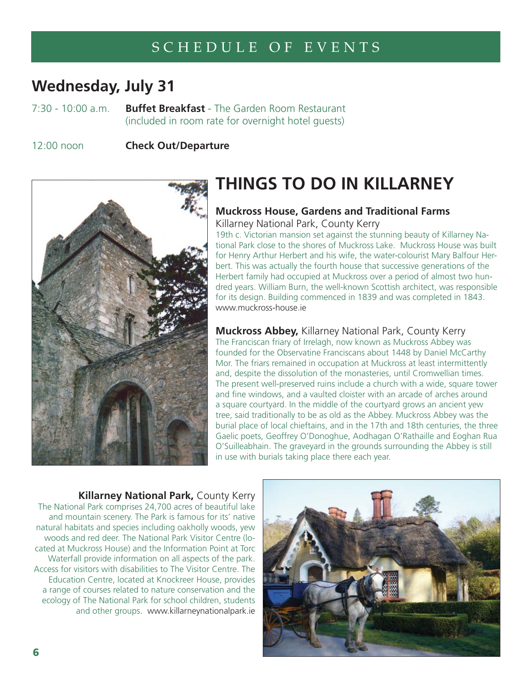# **Wednesday, July 31**

7:30 - 10:00 a.m. **Buffet Breakfast** - The Garden Room Restaurant (included in room rate for overnight hotel guests)

12:00 noon **Check Out/Departure** 



# **THINGS TO DO IN KILLARNEY**

# **Muckross House, Gardens and Traditional Farms**

Killarney National Park, County Kerry

19th c. Victorian mansion set against the stunning beauty of Killarney National Park close to the shores of Muckross Lake. Muckross House was built for Henry Arthur Herbert and his wife, the water-colourist Mary Balfour Herbert. This was actually the fourth house that successive generations of the Herbert family had occupied at Muckross over a period of almost two hundred years. William Burn, the well-known Scottish architect, was responsible for its design. Building commenced in 1839 and was completed in 1843. www.muckross-house.ie

## **Muckross Abbey,** Killarney National Park, County Kerry

The Franciscan friary of Irrelagh, now known as Muckross Abbey was founded for the Observatine Franciscans about 1448 by Daniel McCarthy Mor. The friars remained in occupation at Muckross at least intermittently and, despite the dissolution of the monasteries, until Cromwellian times. The present well-preserved ruins include a church with a wide, square tower and fine windows, and a vaulted cloister with an arcade of arches around a square courtyard. In the middle of the courtyard grows an ancient yew tree, said traditionally to be as old as the Abbey. Muckross Abbey was the burial place of local chieftains, and in the 17th and 18th centuries, the three Gaelic poets, Geoffrey O'Donoghue, Aodhagan O'Rathaille and Eoghan Rua O'Suilleabhain. The graveyard in the grounds surrounding the Abbey is still in use with burials taking place there each year.

# **Killarney National Park,** County Kerry

The National Park comprises 24,700 acres of beautiful lake and mountain scenery. The Park is famous for its' native natural habitats and species including oakholly woods, yew woods and red deer. The National Park Visitor Centre (located at Muckross House) and the Information Point at Torc Waterfall provide information on all aspects of the park. Access for visitors with disabilities to The Visitor Centre. The Education Centre, located at Knockreer House, provides a range of courses related to nature conservation and the ecology of The National Park for school children, students and other groups. www.killarneynationalpark.ie

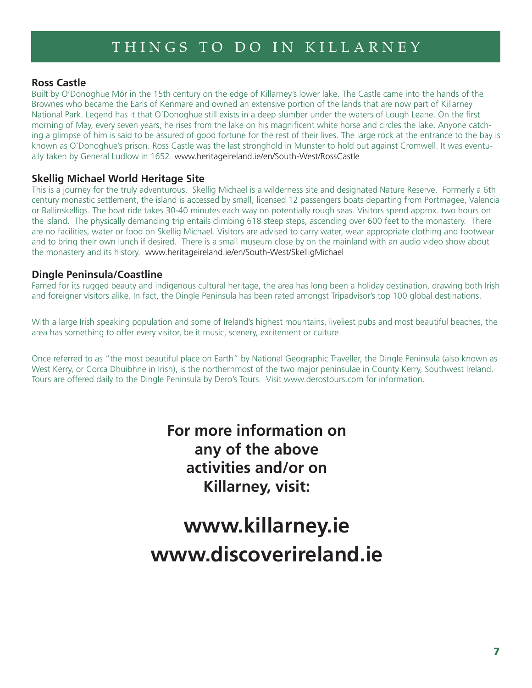# THINGS TO DO IN KILLARNEY

# **Ross Castle**

Built by O'Donoghue Mór in the 15th century on the edge of Killarney's lower lake. The Castle came into the hands of the Brownes who became the Earls of Kenmare and owned an extensive portion of the lands that are now part of Killarney National Park. Legend has it that O'Donoghue still exists in a deep slumber under the waters of Lough Leane. On the first morning of May, every seven years, he rises from the lake on his magnificent white horse and circles the lake. Anyone catching a glimpse of him is said to be assured of good fortune for the rest of their lives. The large rock at the entrance to the bay is known as O'Donoghue's prison. Ross Castle was the last stronghold in Munster to hold out against Cromwell. It was eventually taken by General Ludlow in 1652. www.heritageireland.ie/en/South-West/RossCastle

# **Skellig Michael World Heritage Site kellig**

This is a journey for the truly adventurous. Skellig Michael is a wilderness site and designated Nature Reserve. Formerly a 6th century monastic settlement, the island is accessed by small, licensed 12 passengers boats departing from Portmagee, Valencia or Ballinskelligs. The boat ride takes 30-40 minutes each way on potentially rough seas. Visitors spend approx. two hours on r the island. The physically demanding trip entails climbing 618 steep steps, ascending over 600 feet to the monastery. There are no facilities, water or food on Skellig Michael. Visitors are advised to carry water, wear appropriate clothing and footwear and to bring their own lunch if desired. There is a small museum close by on the mainland with an audio video show about the monastery and its history. www.heritageireland.ie/en/South-West/SkelligMichael

# **Dingle Peninsula/Coastline**

Famed for its rugged beauty and indigenous cultural heritage, the area has long been a holiday destination, drawing both Irish and foreigner visitors alike. In fact, the Dingle Peninsula has been rated amongst Tripadvisor's top 100 global destinations.

With a large Irish speaking population and some of Ireland's highest mountains, liveliest pubs and most beautiful beaches, the area has something to offer every visitor, be it music, scenery, excitement or culture.

Once referred to as "the most beautiful place on Earth" by National Geographic Traveller, the Dingle Peninsula (also known as West Kerry, or Corca Dhuibhne in Irish), is the northernmost of the two major peninsulae in County Kerry, Southwest Ireland. Tours are offered daily to the Dingle Peninsula by Dero's Tours. Visit www.derostours.com for information.

> **For more information on any of the above activities and/or on Killarney, visit:**

# **www.killarney.ie www.discoverireland.ie**